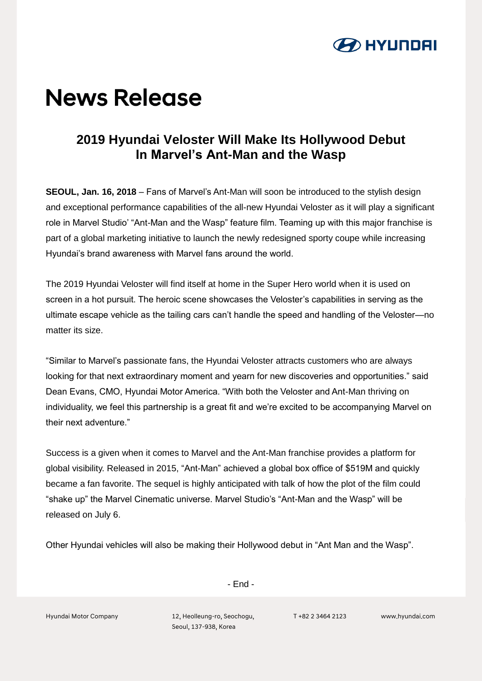

# **News Release**

## **2019 Hyundai Veloster Will Make Its Hollywood Debut In Marvel's Ant-Man and the Wasp**

**SEOUL, Jan. 16, 2018** – Fans of Marvel's Ant-Man will soon be introduced to the stylish design and exceptional performance capabilities of the all-new Hyundai Veloster as it will play a significant role in Marvel Studio' "Ant-Man and the Wasp" feature film. Teaming up with this major franchise is part of a global marketing initiative to launch the newly redesigned sporty coupe while increasing Hyundai's brand awareness with Marvel fans around the world.

The 2019 Hyundai Veloster will find itself at home in the Super Hero world when it is used on screen in a hot pursuit. The heroic scene showcases the Veloster's capabilities in serving as the ultimate escape vehicle as the tailing cars can't handle the speed and handling of the Veloster—no matter its size.

"Similar to Marvel's passionate fans, the Hyundai Veloster attracts customers who are always looking for that next extraordinary moment and yearn for new discoveries and opportunities." said Dean Evans, CMO, Hyundai Motor America. "With both the Veloster and Ant-Man thriving on individuality, we feel this partnership is a great fit and we're excited to be accompanying Marvel on their next adventure."

Success is a given when it comes to Marvel and the Ant-Man franchise provides a platform for global visibility. Released in 2015, "Ant-Man" achieved a global box office of \$519M and quickly became a fan favorite. The sequel is highly anticipated with talk of how the plot of the film could "shake up" the Marvel Cinematic universe. Marvel Studio's "Ant-Man and the Wasp" will be released on July 6.

Other Hyundai vehicles will also be making their Hollywood debut in "Ant Man and the Wasp".

- End -

Hyundai Motor Company 12, Heolleung-ro, Seochogu, Seoul, 137-938, Korea